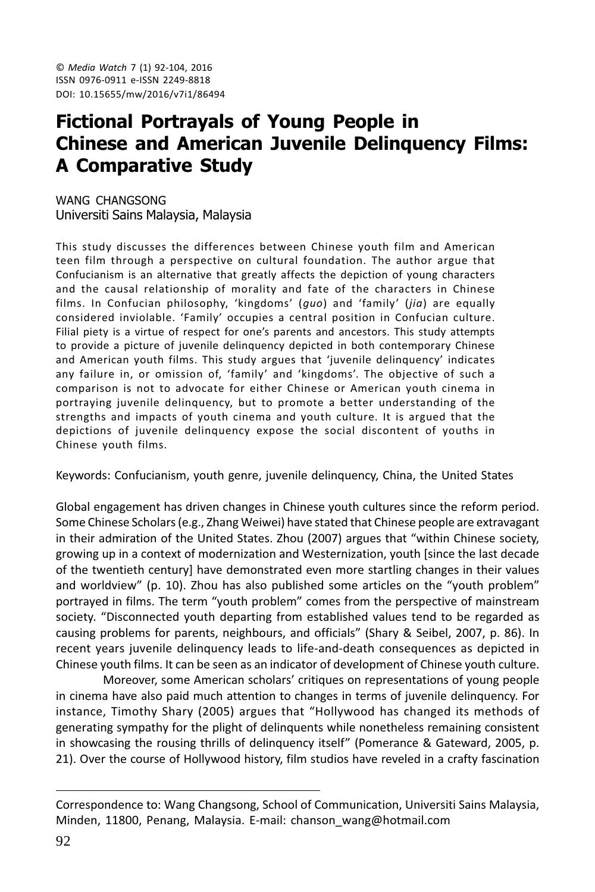# **Fictional Portrayals of Young People in Chinese and American Juvenile Delinguency Films: A Comparative Study**

WANG CHANGSONG Universiti Sains Malaysia, Malaysia

This study discusses the differences between Chinese youth film and American teen film through a perspective on cultural foundation. The author argue that Confucianism is an alternative that greatly affects the depiction of young characters and the causal relationship of morality and fate of the characters in Chinese films. In Confucian philosophy, 'kingdoms' (guo) and 'family' (jia) are equally considered inviolable. 'Family' occupies a central position in Confucian culture. Filial piety is a virtue of respect for one's parents and ancestors. This study attempts to provide a picture of juvenile delinquency depicted in both contemporary Chinese and American youth films. This study argues that 'juvenile delinguency' indicates any failure in, or omission of, 'family' and 'kingdoms'. The objective of such a comparison is not to advocate for either Chinese or American youth cinema in portraying juvenile delinguency, but to promote a better understanding of the strengths and impacts of youth cinema and youth culture. It is argued that the depictions of juvenile delinguency expose the social discontent of youths in Chinese youth films.

Keywords: Confucianism, youth genre, juvenile delinguency, China, the United States

Global engagement has driven changes in Chinese youth cultures since the reform period. Some Chinese Scholars (e.g., Zhang Weiwei) have stated that Chinese people are extravagant in their admiration of the United States. Zhou (2007) argues that "within Chinese society, growing up in a context of modernization and Westernization, youth [since the last decade of the twentieth century] have demonstrated even more startling changes in their values and worldview" (p. 10). Zhou has also published some articles on the "youth problem" portrayed in films. The term "youth problem" comes from the perspective of mainstream society. "Disconnected youth departing from established values tend to be regarded as causing problems for parents, neighbours, and officials" (Shary & Seibel, 2007, p. 86). In recent years juvenile delinguency leads to life-and-death consequences as depicted in Chinese youth films. It can be seen as an indicator of development of Chinese youth culture.

Moreover, some American scholars' critiques on representations of young people in cinema have also paid much attention to changes in terms of juvenile delinquency. For instance, Timothy Shary (2005) argues that "Hollywood has changed its methods of generating sympathy for the plight of delinquents while nonetheless remaining consistent in showcasing the rousing thrills of delinguency itself" (Pomerance & Gateward, 2005, p. 21). Over the course of Hollywood history, film studios have reveled in a crafty fascination

Correspondence to: Wang Changsong, School of Communication, Universiti Sains Malaysia, Minden, 11800, Penang, Malaysia. E-mail: chanson\_wang@hotmail.com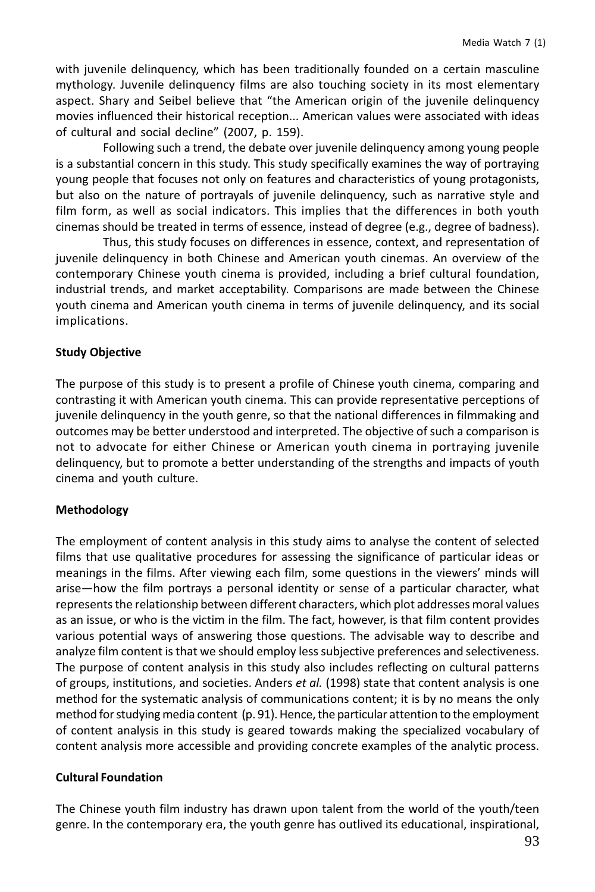with juvenile delinquency, which has been traditionally founded on a certain masculine mythology. Juvenile delinguency films are also touching society in its most elementary aspect. Shary and Seibel believe that "the American origin of the juvenile delinguency movies influenced their historical reception... American values were associated with ideas of cultural and social decline" (2007, p. 159).

Following such a trend, the debate over juvenile delinquency among young people is a substantial concern in this study. This study specifically examines the way of portraying young people that focuses not only on features and characteristics of young protagonists, but also on the nature of portrayals of juvenile delinguency, such as narrative style and film form, as well as social indicators. This implies that the differences in both youth cinemas should be treated in terms of essence, instead of degree (e.g., degree of badness).

Thus, this study focuses on differences in essence, context, and representation of juvenile delinquency in both Chinese and American youth cinemas. An overview of the contemporary Chinese youth cinema is provided, including a brief cultural foundation, industrial trends, and market acceptability. Comparisons are made between the Chinese youth cinema and American youth cinema in terms of juvenile delinquency, and its social implications.

#### **Study Objective**

The purpose of this study is to present a profile of Chinese youth cinema, comparing and contrasting it with American youth cinema. This can provide representative perceptions of juvenile delinquency in the youth genre, so that the national differences in filmmaking and outcomes may be better understood and interpreted. The objective of such a comparison is not to advocate for either Chinese or American youth cinema in portraying juvenile delinguency, but to promote a better understanding of the strengths and impacts of youth cinema and youth culture.

#### Methodology

The employment of content analysis in this study aims to analyse the content of selected films that use qualitative procedures for assessing the significance of particular ideas or meanings in the films. After viewing each film, some questions in the viewers' minds will arise—how the film portrays a personal identity or sense of a particular character, what represents the relationship between different characters, which plot addresses moral values as an issue, or who is the victim in the film. The fact, however, is that film content provides various potential ways of answering those questions. The advisable way to describe and analyze film content is that we should employ less subjective preferences and selectiveness. The purpose of content analysis in this study also includes reflecting on cultural patterns of groups, institutions, and societies. Anders et al. (1998) state that content analysis is one method for the systematic analysis of communications content; it is by no means the only method for studying media content (p. 91). Hence, the particular attention to the employment of content analysis in this study is geared towards making the specialized vocabulary of content analysis more accessible and providing concrete examples of the analytic process.

#### **Cultural Foundation**

The Chinese youth film industry has drawn upon talent from the world of the youth/teen genre. In the contemporary era, the youth genre has outlived its educational, inspirational,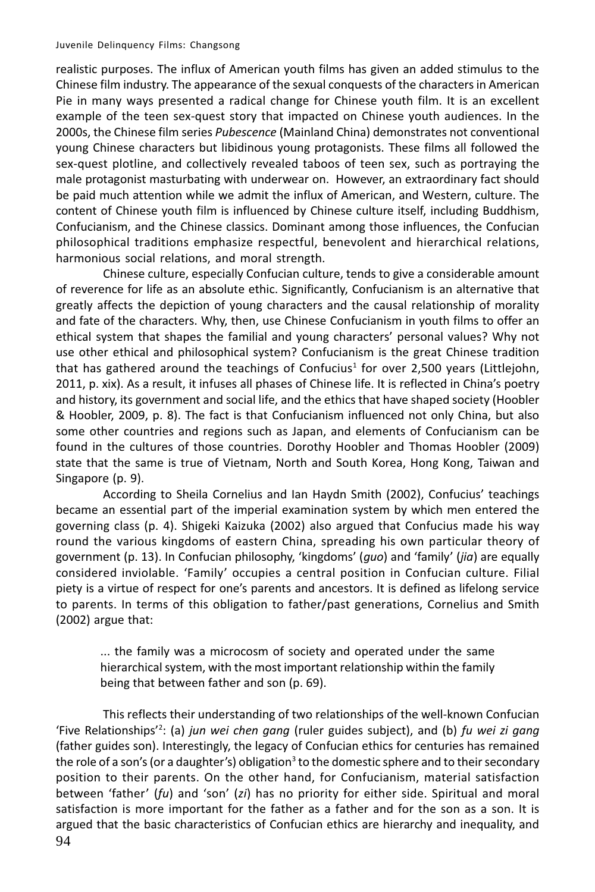realistic purposes. The influx of American youth films has given an added stimulus to the Chinese film industry. The appearance of the sexual conquests of the characters in American Pie in many ways presented a radical change for Chinese youth film. It is an excellent example of the teen sex-quest story that impacted on Chinese youth audiences. In the 2000s, the Chinese film series Pubescence (Mainland China) demonstrates not conventional young Chinese characters but libidinous young protagonists. These films all followed the sex-quest plotline, and collectively revealed taboos of teen sex, such as portraying the male protagonist masturbating with underwear on. However, an extraordinary fact should be paid much attention while we admit the influx of American, and Western, culture. The content of Chinese youth film is influenced by Chinese culture itself, including Buddhism, Confucianism, and the Chinese classics. Dominant among those influences, the Confucian philosophical traditions emphasize respectful, benevolent and hierarchical relations, harmonious social relations, and moral strength.

Chinese culture, especially Confucian culture, tends to give a considerable amount of reverence for life as an absolute ethic. Significantly, Confucianism is an alternative that greatly affects the depiction of young characters and the causal relationship of morality and fate of the characters. Why, then, use Chinese Confucianism in youth films to offer an ethical system that shapes the familial and young characters' personal values? Why not use other ethical and philosophical system? Confucianism is the great Chinese tradition that has gathered around the teachings of Confucius<sup>1</sup> for over 2,500 years (Littlejohn, 2011, p. xix). As a result, it infuses all phases of Chinese life. It is reflected in China's poetry and history, its government and social life, and the ethics that have shaped society (Hoobler & Hoobler, 2009, p. 8). The fact is that Confucianism influenced not only China, but also some other countries and regions such as Japan, and elements of Confucianism can be found in the cultures of those countries. Dorothy Hoobler and Thomas Hoobler (2009) state that the same is true of Vietnam, North and South Korea, Hong Kong, Taiwan and Singapore (p. 9).

According to Sheila Cornelius and Ian Haydn Smith (2002), Confucius' teachings became an essential part of the imperial examination system by which men entered the governing class (p. 4). Shigeki Kaizuka (2002) also argued that Confucius made his way round the various kingdoms of eastern China, spreading his own particular theory of government (p. 13). In Confucian philosophy, 'kingdoms' (quo) and 'family' (jia) are equally considered inviolable. 'Family' occupies a central position in Confucian culture. Filial piety is a virtue of respect for one's parents and ancestors. It is defined as lifelong service to parents. In terms of this obligation to father/past generations, Cornelius and Smith (2002) argue that:

... the family was a microcosm of society and operated under the same hierarchical system, with the most important relationship within the family being that between father and son (p. 69).

This reflects their understanding of two relationships of the well-known Confucian 'Five Relationships'<sup>2</sup>: (a) jun wei chen gang (ruler guides subject), and (b) fu wei zi gang (father guides son). Interestingly, the legacy of Confucian ethics for centuries has remained the role of a son's (or a daughter's) obligation<sup>3</sup> to the domestic sphere and to their secondary position to their parents. On the other hand, for Confucianism, material satisfaction between 'father' (fu) and 'son' (zi) has no priority for either side. Spiritual and moral satisfaction is more important for the father as a father and for the son as a son. It is argued that the basic characteristics of Confucian ethics are hierarchy and inequality, and 94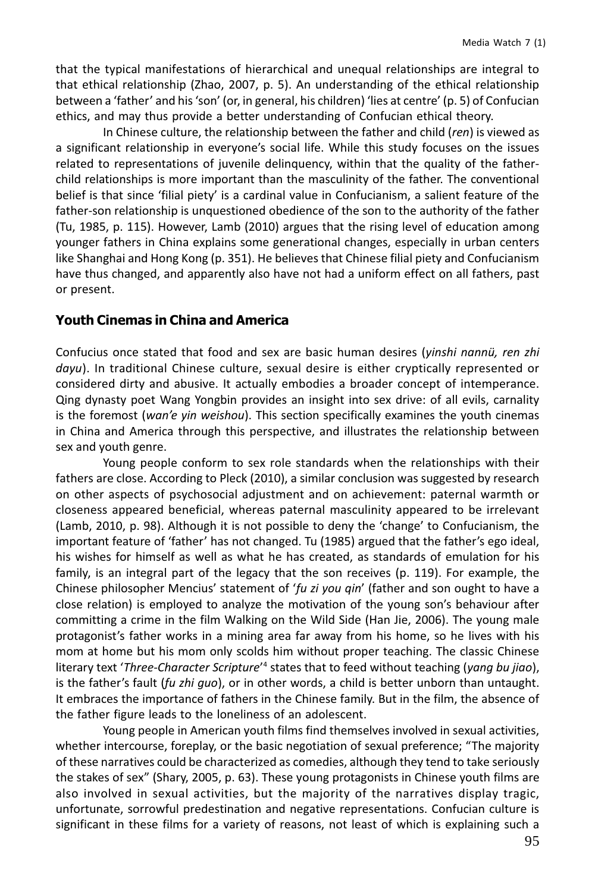that the typical manifestations of hierarchical and unequal relationships are integral to that ethical relationship (Zhao, 2007, p. 5). An understanding of the ethical relationship between a 'father' and his 'son' (or, in general, his children) 'lies at centre' (p. 5) of Confucian ethics, and may thus provide a better understanding of Confucian ethical theory.

In Chinese culture, the relationship between the father and child (ren) is viewed as a significant relationship in everyone's social life. While this study focuses on the issues related to representations of juvenile delinquency, within that the quality of the fatherchild relationships is more important than the masculinity of the father. The conventional belief is that since 'filial piety' is a cardinal value in Confucianism, a salient feature of the father-son relationship is unquestioned obedience of the son to the authority of the father (Tu, 1985, p. 115). However, Lamb (2010) argues that the rising level of education among younger fathers in China explains some generational changes, especially in urban centers like Shanghai and Hong Kong (p. 351). He believes that Chinese filial piety and Confucianism have thus changed, and apparently also have not had a uniform effect on all fathers, past or present.

### **Youth Cinemas in China and America**

Confucius once stated that food and sex are basic human desires (yinshi nannü, ren zhi *dayu*). In traditional Chinese culture, sexual desire is either cryptically represented or considered dirty and abusive. It actually embodies a broader concept of intemperance. Qing dynasty poet Wang Yongbin provides an insight into sex drive: of all evils, carnality is the foremost (wan'e yin weishou). This section specifically examines the youth cinemas in China and America through this perspective, and illustrates the relationship between sex and youth genre.

Young people conform to sex role standards when the relationships with their fathers are close. According to Pleck (2010), a similar conclusion was suggested by research on other aspects of psychosocial adjustment and on achievement: paternal warmth or closeness appeared beneficial, whereas paternal masculinity appeared to be irrelevant (Lamb, 2010, p. 98). Although it is not possible to deny the 'change' to Confucianism, the important feature of 'father' has not changed. Tu (1985) argued that the father's ego ideal, his wishes for himself as well as what he has created, as standards of emulation for his family, is an integral part of the legacy that the son receives (p. 119). For example, the Chinese philosopher Mencius' statement of 'fu zi you qin' (father and son ought to have a close relation) is employed to analyze the motivation of the young son's behaviour after committing a crime in the film Walking on the Wild Side (Han Jie, 2006). The young male protagonist's father works in a mining area far away from his home, so he lives with his mom at home but his mom only scolds him without proper teaching. The classic Chinese literary text 'Three-Character Scripture'<sup>4</sup> states that to feed without teaching (yang bu jiao), is the father's fault (fu zhi quo), or in other words, a child is better unborn than untaught. It embraces the importance of fathers in the Chinese family. But in the film, the absence of the father figure leads to the loneliness of an adolescent.

Young people in American youth films find themselves involved in sexual activities, whether intercourse, foreplay, or the basic negotiation of sexual preference; "The majority of these narratives could be characterized as comedies, although they tend to take seriously the stakes of sex" (Shary, 2005, p. 63). These young protagonists in Chinese youth films are also involved in sexual activities, but the majority of the narratives display tragic, unfortunate, sorrowful predestination and negative representations. Confucian culture is significant in these films for a variety of reasons, not least of which is explaining such a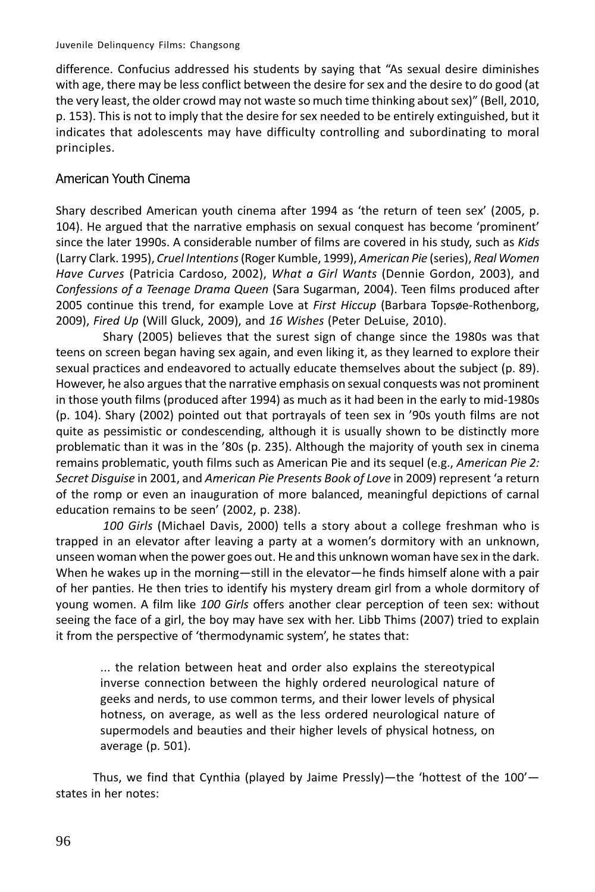difference. Confucius addressed his students by saying that "As sexual desire diminishes with age, there may be less conflict between the desire for sex and the desire to do good (at the very least, the older crowd may not waste so much time thinking about sex)" (Bell, 2010, p. 153). This is not to imply that the desire for sex needed to be entirely extinguished, but it indicates that adolescents may have difficulty controlling and subordinating to moral principles.

### American Youth Cinema

Shary described American youth cinema after 1994 as 'the return of teen sex' (2005, p. 104). He argued that the narrative emphasis on sexual conquest has become 'prominent' since the later 1990s. A considerable number of films are covered in his study, such as Kids (Larry Clark. 1995), Cruel Intentions (Roger Kumble, 1999), American Pie (series), Real Women Have Curves (Patricia Cardoso, 2002), What a Girl Wants (Dennie Gordon, 2003), and Confessions of a Teenage Drama Queen (Sara Sugarman, 2004). Teen films produced after 2005 continue this trend, for example Love at First Hiccup (Barbara Topsøe-Rothenborg, 2009), Fired Up (Will Gluck, 2009), and 16 Wishes (Peter DeLuise, 2010).

Shary (2005) believes that the surest sign of change since the 1980s was that teens on screen began having sex again, and even liking it, as they learned to explore their sexual practices and endeavored to actually educate themselves about the subject (p. 89). However, he also argues that the narrative emphasis on sexual conquests was not prominent in those youth films (produced after 1994) as much as it had been in the early to mid-1980s (p. 104). Shary (2002) pointed out that portrayals of teen sex in '90s youth films are not quite as pessimistic or condescending, although it is usually shown to be distinctly more problematic than it was in the '80s (p. 235). Although the majority of youth sex in cinema remains problematic, youth films such as American Pie and its sequel (e.g., American Pie 2: Secret Disquise in 2001, and American Pie Presents Book of Love in 2009) represent 'a return of the romp or even an inauguration of more balanced, meaningful depictions of carnal education remains to be seen' (2002, p. 238).

100 Girls (Michael Davis, 2000) tells a story about a college freshman who is trapped in an elevator after leaving a party at a women's dormitory with an unknown, unseen woman when the power goes out. He and this unknown woman have sex in the dark. When he wakes up in the morning—still in the elevator—he finds himself alone with a pair of her panties. He then tries to identify his mystery dream girl from a whole dormitory of young women. A film like 100 Girls offers another clear perception of teen sex: without seeing the face of a girl, the boy may have sex with her. Libb Thims (2007) tried to explain it from the perspective of 'thermodynamic system', he states that:

... the relation between heat and order also explains the stereotypical inverse connection between the highly ordered neurological nature of geeks and nerds, to use common terms, and their lower levels of physical hotness, on average, as well as the less ordered neurological nature of supermodels and beauties and their higher levels of physical hotness, on average (p. 501).

Thus, we find that Cynthia (played by Jaime Pressly)—the 'hottest of the  $100'$  states in her notes: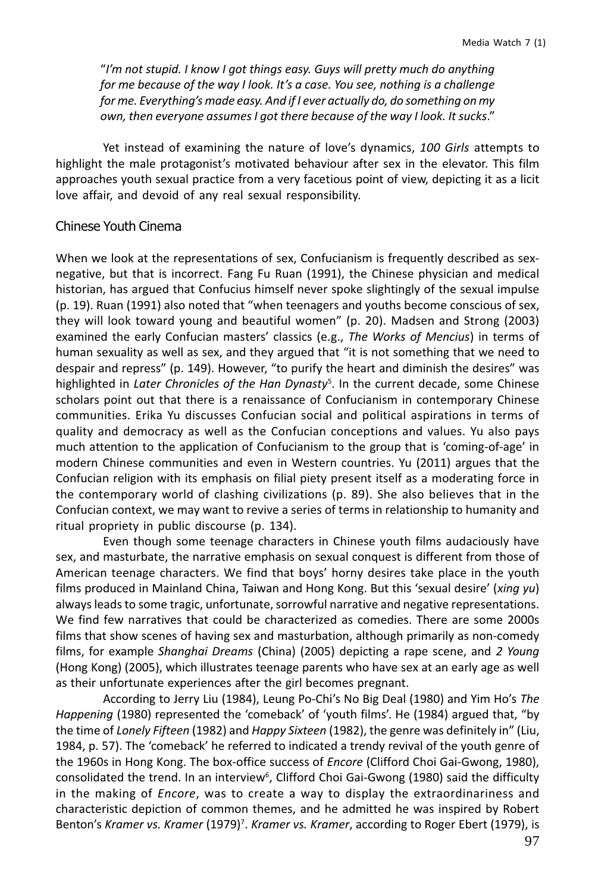"I'm not stupid. I know I got things easy. Guys will pretty much do anything for me because of the way I look. It's a case. You see, nothing is a challenge for me. Everything's made easy. And if I ever actually do, do something on my own, then everyone assumes I got there because of the way I look. It sucks."

Yet instead of examining the nature of love's dynamics, 100 Girls attempts to highlight the male protagonist's motivated behaviour after sex in the elevator. This film approaches youth sexual practice from a very facetious point of view, depicting it as a licit love affair, and devoid of any real sexual responsibility.

### Chinese Youth Cinema

When we look at the representations of sex, Confucianism is frequently described as sexnegative, but that is incorrect. Fang Fu Ruan (1991), the Chinese physician and medical historian, has argued that Confucius himself never spoke slightingly of the sexual impulse (p. 19). Ruan (1991) also noted that "when teenagers and youths become conscious of sex, they will look toward young and beautiful women" (p. 20). Madsen and Strong (2003) examined the early Confucian masters' classics (e.g., The Works of Mencius) in terms of human sexuality as well as sex, and they argued that "it is not something that we need to despair and repress" (p. 149). However, "to purify the heart and diminish the desires" was highlighted in Later Chronicles of the Han Dynasty<sup>5</sup>. In the current decade, some Chinese scholars point out that there is a renaissance of Confucianism in contemporary Chinese communities. Erika Yu discusses Confucian social and political aspirations in terms of quality and democracy as well as the Confucian conceptions and values. Yu also pays much attention to the application of Confucianism to the group that is 'coming-of-age' in modern Chinese communities and even in Western countries. Yu (2011) argues that the Confucian religion with its emphasis on filial piety present itself as a moderating force in the contemporary world of clashing civilizations (p. 89). She also believes that in the Confucian context, we may want to revive a series of terms in relationship to humanity and ritual propriety in public discourse (p. 134).

Even though some teenage characters in Chinese youth films audaciously have sex, and masturbate, the narrative emphasis on sexual conquest is different from those of American teenage characters. We find that boys' horny desires take place in the youth films produced in Mainland China, Taiwan and Hong Kong. But this 'sexual desire' (xing yu) always leads to some tragic, unfortunate, sorrowful narrative and negative representations. We find few narratives that could be characterized as comedies. There are some 2000s films that show scenes of having sex and masturbation, although primarily as non-comedy films, for example Shanghai Dreams (China) (2005) depicting a rape scene, and 2 Young (Hong Kong) (2005), which illustrates teenage parents who have sex at an early age as well as their unfortunate experiences after the girl becomes pregnant.

According to Jerry Liu (1984), Leung Po-Chi's No Big Deal (1980) and Yim Ho's The Happening (1980) represented the 'comeback' of 'youth films'. He (1984) argued that, "by the time of Lonely Fifteen (1982) and Happy Sixteen (1982), the genre was definitely in" (Liu, 1984, p. 57). The 'comeback' he referred to indicated a trendy revival of the youth genre of the 1960s in Hong Kong. The box-office success of *Encore* (Clifford Choi Gai-Gwong, 1980), consolidated the trend. In an interview<sup>6</sup>, Clifford Choi Gai-Gwong (1980) said the difficulty in the making of Encore, was to create a way to display the extraordinariness and characteristic depiction of common themes, and he admitted he was inspired by Robert Benton's Kramer vs. Kramer (1979)<sup>7</sup>. Kramer vs. Kramer, according to Roger Ebert (1979), is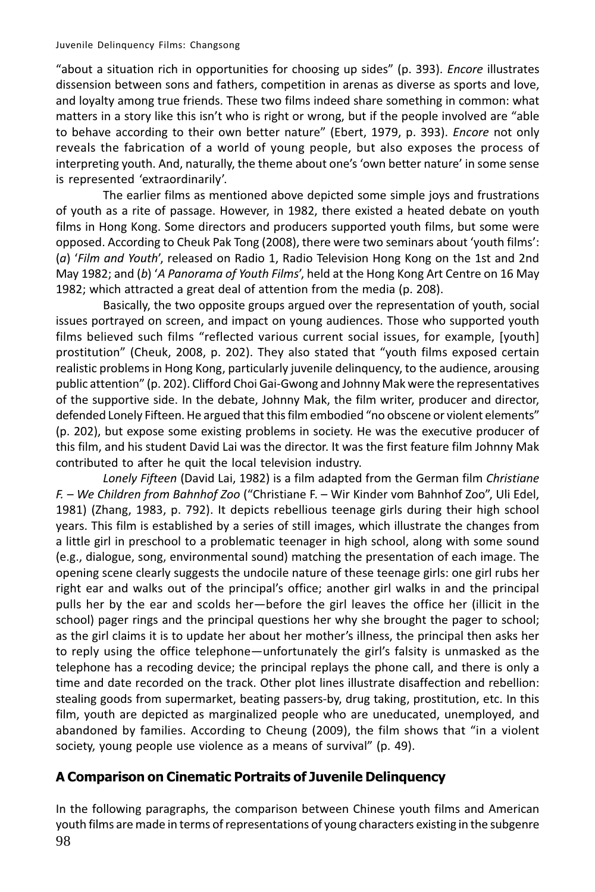"about a situation rich in opportunities for choosing up sides" (p. 393). Encore illustrates dissension between sons and fathers, competition in arenas as diverse as sports and love, and loyalty among true friends. These two films indeed share something in common: what matters in a story like this isn't who is right or wrong, but if the people involved are "able" to behave according to their own better nature" (Ebert, 1979, p. 393). *Encore* not only reveals the fabrication of a world of young people, but also exposes the process of interpreting youth. And, naturally, the theme about one's 'own better nature' in some sense is represented 'extraordinarily'.

The earlier films as mentioned above depicted some simple joys and frustrations of youth as a rite of passage. However, in 1982, there existed a heated debate on youth films in Hong Kong. Some directors and producers supported youth films, but some were opposed. According to Cheuk Pak Tong (2008), there were two seminars about 'youth films': (a) 'Film and Youth', released on Radio 1, Radio Television Hong Kong on the 1st and 2nd May 1982; and (b) 'A Panorama of Youth Films', held at the Hong Kong Art Centre on 16 May 1982; which attracted a great deal of attention from the media (p. 208).

Basically, the two opposite groups argued over the representation of youth, social issues portrayed on screen, and impact on young audiences. Those who supported youth films believed such films "reflected various current social issues, for example, [youth] prostitution" (Cheuk, 2008, p. 202). They also stated that "youth films exposed certain realistic problems in Hong Kong, particularly juvenile delinguency, to the audience, arousing public attention" (p. 202). Clifford Choi Gai-Gwong and Johnny Mak were the representatives of the supportive side. In the debate, Johnny Mak, the film writer, producer and director, defended Lonely Fifteen. He argued that this film embodied "no obscene or violent elements" (p. 202), but expose some existing problems in society. He was the executive producer of this film, and his student David Lai was the director. It was the first feature film Johnny Mak contributed to after he quit the local television industry.

Lonely Fifteen (David Lai, 1982) is a film adapted from the German film Christiane F. - We Children from Bahnhof Zoo ("Christiane F. - Wir Kinder vom Bahnhof Zoo", Uli Edel, 1981) (Zhang, 1983, p. 792). It depicts rebellious teenage girls during their high school years. This film is established by a series of still images, which illustrate the changes from a little girl in preschool to a problematic teenager in high school, along with some sound (e.g., dialogue, song, environmental sound) matching the presentation of each image. The opening scene clearly suggests the undocile nature of these teenage girls: one girl rubs her right ear and walks out of the principal's office; another girl walks in and the principal pulls her by the ear and scolds her-before the girl leaves the office her (illicit in the school) pager rings and the principal questions her why she brought the pager to school; as the girl claims it is to update her about her mother's illness, the principal then asks her to reply using the office telephone—unfortunately the girl's falsity is unmasked as the telephone has a recoding device; the principal replays the phone call, and there is only a time and date recorded on the track. Other plot lines illustrate disaffection and rebellion: stealing goods from supermarket, beating passers-by, drug taking, prostitution, etc. In this film, youth are depicted as marginalized people who are uneducated, unemployed, and abandoned by families. According to Cheung (2009), the film shows that "in a violent society, young people use violence as a means of survival" (p. 49).

# A Comparison on Cinematic Portraits of Juvenile Delinquency

In the following paragraphs, the comparison between Chinese youth films and American youth films are made in terms of representations of young characters existing in the subgenre 98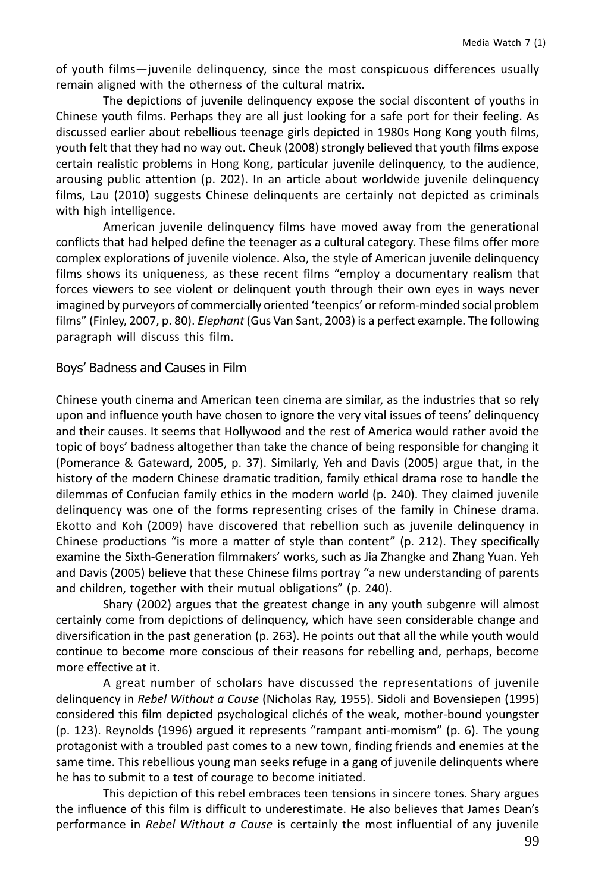of youth films-juvenile delinquency, since the most conspicuous differences usually remain aligned with the otherness of the cultural matrix.

The depictions of juvenile delinquency expose the social discontent of youths in Chinese youth films. Perhaps they are all just looking for a safe port for their feeling. As discussed earlier about rebellious teenage girls depicted in 1980s Hong Kong youth films, youth felt that they had no way out. Cheuk (2008) strongly believed that youth films expose certain realistic problems in Hong Kong, particular juvenile delinquency, to the audience, arousing public attention (p. 202). In an article about worldwide juvenile delinguency films, Lau (2010) suggests Chinese delinquents are certainly not depicted as criminals with high intelligence.

American juvenile delinquency films have moved away from the generational conflicts that had helped define the teenager as a cultural category. These films offer more complex explorations of juvenile violence. Also, the style of American juvenile delinquency films shows its uniqueness, as these recent films "employ a documentary realism that forces viewers to see violent or delinguent youth through their own eyes in ways never imagined by purveyors of commercially oriented 'teenpics' or reform-minded social problem films" (Finley, 2007, p. 80). *Elephant* (Gus Van Sant, 2003) is a perfect example. The following paragraph will discuss this film.

### Boys' Badness and Causes in Film

Chinese youth cinema and American teen cinema are similar, as the industries that so rely upon and influence youth have chosen to ignore the very vital issues of teens' delinguency and their causes. It seems that Hollywood and the rest of America would rather avoid the topic of boys' badness altogether than take the chance of being responsible for changing it (Pomerance & Gateward, 2005, p. 37). Similarly, Yeh and Davis (2005) argue that, in the history of the modern Chinese dramatic tradition, family ethical drama rose to handle the dilemmas of Confucian family ethics in the modern world (p. 240). They claimed juvenile delinguency was one of the forms representing crises of the family in Chinese drama. Ekotto and Koh (2009) have discovered that rebellion such as juvenile delinquency in Chinese productions "is more a matter of style than content" (p. 212). They specifically examine the Sixth-Generation filmmakers' works, such as Jia Zhangke and Zhang Yuan. Yeh and Davis (2005) believe that these Chinese films portray "a new understanding of parents and children, together with their mutual obligations" (p. 240).

Shary (2002) argues that the greatest change in any youth subgenre will almost certainly come from depictions of delinguency, which have seen considerable change and diversification in the past generation (p. 263). He points out that all the while youth would continue to become more conscious of their reasons for rebelling and, perhaps, become more effective at it.

A great number of scholars have discussed the representations of juvenile delinquency in Rebel Without a Cause (Nicholas Ray, 1955). Sidoli and Bovensiepen (1995) considered this film depicted psychological clichés of the weak, mother-bound youngster (p. 123). Reynolds (1996) argued it represents "rampant anti-momism" (p. 6). The young protagonist with a troubled past comes to a new town, finding friends and enemies at the same time. This rebellious young man seeks refuge in a gang of juvenile delinguents where he has to submit to a test of courage to become initiated.

This depiction of this rebel embraces teen tensions in sincere tones. Shary argues the influence of this film is difficult to underestimate. He also believes that James Dean's performance in Rebel Without a Cause is certainly the most influential of any juvenile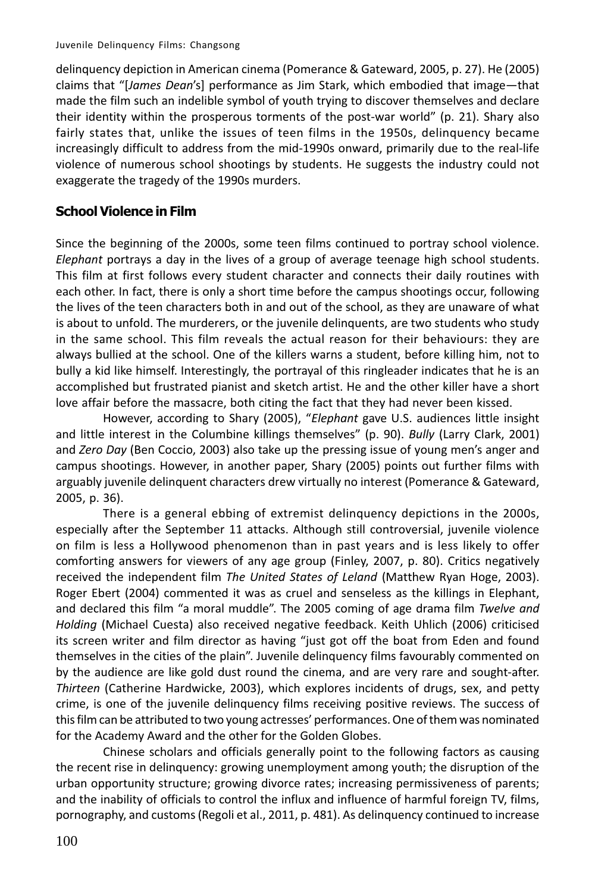delinquency depiction in American cinema (Pomerance & Gateward, 2005, p. 27). He (2005) claims that "[James Dean's] performance as Jim Stark, which embodied that image—that made the film such an indelible symbol of youth trying to discover themselves and declare their identity within the prosperous torments of the post-war world" (p. 21). Shary also fairly states that, unlike the issues of teen films in the 1950s, delinguency became increasingly difficult to address from the mid-1990s onward, primarily due to the real-life violence of numerous school shootings by students. He suggests the industry could not exaggerate the tragedy of the 1990s murders.

# **School Violence in Film**

Since the beginning of the 2000s, some teen films continued to portray school violence. Elephant portrays a day in the lives of a group of average teenage high school students. This film at first follows every student character and connects their daily routines with each other. In fact, there is only a short time before the campus shootings occur, following the lives of the teen characters both in and out of the school, as they are unaware of what is about to unfold. The murderers, or the juvenile delinguents, are two students who study in the same school. This film reveals the actual reason for their behaviours: they are always bullied at the school. One of the killers warns a student, before killing him, not to bully a kid like himself. Interestingly, the portrayal of this ringleader indicates that he is an accomplished but frustrated pianist and sketch artist. He and the other killer have a short love affair before the massacre, both citing the fact that they had never been kissed.

However, according to Shary (2005), "Elephant gave U.S. audiences little insight and little interest in the Columbine killings themselves" (p. 90). Bully (Larry Clark, 2001) and Zero Day (Ben Coccio, 2003) also take up the pressing issue of young men's anger and campus shootings. However, in another paper, Shary (2005) points out further films with arguably juvenile delinguent characters drew virtually no interest (Pomerance & Gateward, 2005, p. 36).

There is a general ebbing of extremist delinquency depictions in the 2000s, especially after the September 11 attacks. Although still controversial, juvenile violence on film is less a Hollywood phenomenon than in past years and is less likely to offer comforting answers for viewers of any age group (Finley, 2007, p. 80). Critics negatively received the independent film The United States of Leland (Matthew Ryan Hoge, 2003). Roger Ebert (2004) commented it was as cruel and senseless as the killings in Elephant, and declared this film "a moral muddle". The 2005 coming of age drama film Twelve and Holding (Michael Cuesta) also received negative feedback. Keith Uhlich (2006) criticised its screen writer and film director as having "just got off the boat from Eden and found themselves in the cities of the plain". Juvenile delinquency films favourably commented on by the audience are like gold dust round the cinema, and are very rare and sought-after. Thirteen (Catherine Hardwicke, 2003), which explores incidents of drugs, sex, and petty crime, is one of the juvenile delinguency films receiving positive reviews. The success of this film can be attributed to two young actresses' performances. One of them was nominated for the Academy Award and the other for the Golden Globes.

Chinese scholars and officials generally point to the following factors as causing the recent rise in delinguency: growing unemployment among youth; the disruption of the urban opportunity structure; growing divorce rates; increasing permissiveness of parents; and the inability of officials to control the influx and influence of harmful foreign TV, films, pornography, and customs (Regoli et al., 2011, p. 481). As delinquency continued to increase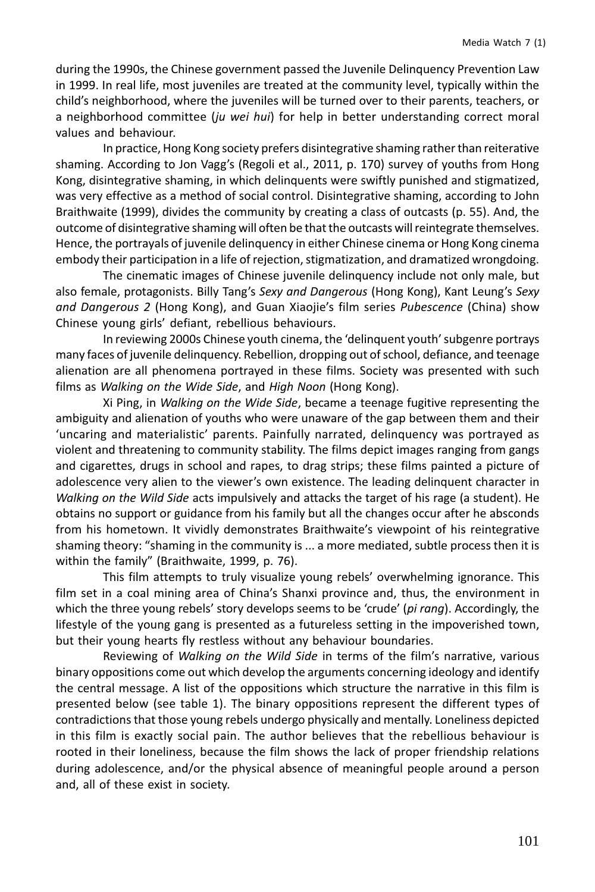during the 1990s, the Chinese government passed the Juvenile Delinquency Prevention Law in 1999. In real life, most juveniles are treated at the community level, typically within the child's neighborhood, where the juveniles will be turned over to their parents, teachers, or a neighborhood committee (ju wei hui) for help in better understanding correct moral values and behaviour.

In practice, Hong Kong society prefers disintegrative shaming rather than reiterative shaming. According to Jon Vagg's (Regoli et al., 2011, p. 170) survey of youths from Hong Kong, disintegrative shaming, in which delinquents were swiftly punished and stigmatized, was very effective as a method of social control. Disintegrative shaming, according to John Braithwaite (1999), divides the community by creating a class of outcasts (p. 55). And, the outcome of disintegrative shaming will often be that the outcasts will reintegrate themselves. Hence, the portrayals of juvenile delinguency in either Chinese cinema or Hong Kong cinema embody their participation in a life of rejection, stigmatization, and dramatized wrongdoing.

The cinematic images of Chinese juvenile delinquency include not only male, but also female, protagonists. Billy Tang's Sexy and Dangerous (Hong Kong), Kant Leung's Sexy and Dangerous 2 (Hong Kong), and Guan Xiaojie's film series Pubescence (China) show Chinese young girls' defiant, rebellious behaviours.

In reviewing 2000s Chinese youth cinema, the 'delinguent youth' subgenre portrays many faces of juvenile delinquency. Rebellion, dropping out of school, defiance, and teenage alienation are all phenomena portrayed in these films. Society was presented with such films as Walking on the Wide Side, and High Noon (Hong Kong).

Xi Ping, in Walking on the Wide Side, became a teenage fugitive representing the ambiguity and alienation of youths who were unaware of the gap between them and their 'uncaring and materialistic' parents. Painfully narrated, delinquency was portrayed as violent and threatening to community stability. The films depict images ranging from gangs and cigarettes, drugs in school and rapes, to drag strips; these films painted a picture of adolescence very alien to the viewer's own existence. The leading delinguent character in Walking on the Wild Side acts impulsively and attacks the target of his rage (a student). He obtains no support or guidance from his family but all the changes occur after he absconds from his hometown. It vividly demonstrates Braithwaite's viewpoint of his reintegrative shaming theory: "shaming in the community is ... a more mediated, subtle process then it is within the family" (Braithwaite, 1999, p. 76).

This film attempts to truly visualize young rebels' overwhelming ignorance. This film set in a coal mining area of China's Shanxi province and, thus, the environment in which the three young rebels' story develops seems to be 'crude' (pi rang). Accordingly, the lifestyle of the young gang is presented as a futureless setting in the impoverished town, but their young hearts fly restless without any behaviour boundaries.

Reviewing of Walking on the Wild Side in terms of the film's narrative, various binary oppositions come out which develop the arguments concerning ideology and identify the central message. A list of the oppositions which structure the narrative in this film is presented below (see table 1). The binary oppositions represent the different types of contradictions that those young rebels undergo physically and mentally. Loneliness depicted in this film is exactly social pain. The author believes that the rebellious behaviour is rooted in their loneliness, because the film shows the lack of proper friendship relations during adolescence, and/or the physical absence of meaningful people around a person and, all of these exist in society.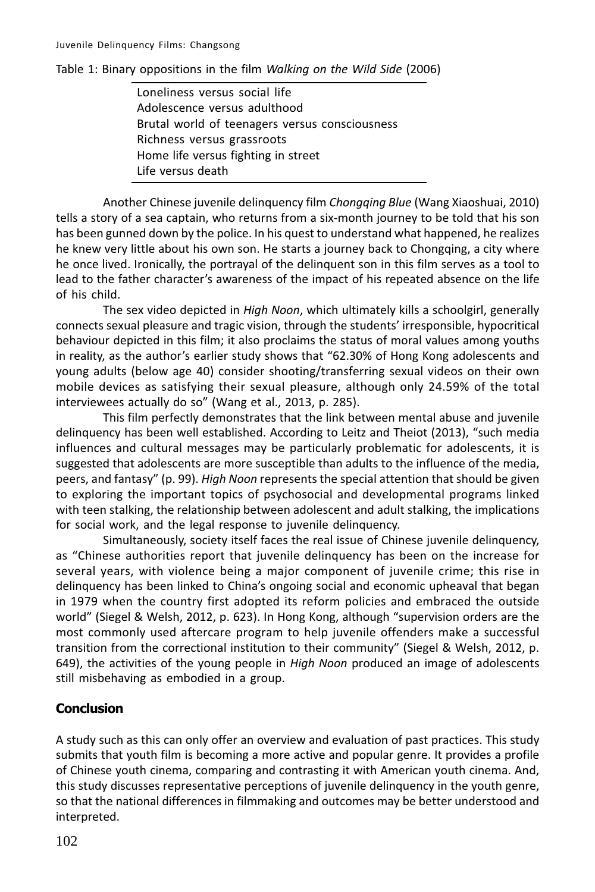Table 1: Binary oppositions in the film Walking on the Wild Side (2006)

Loneliness versus social life Adolescence versus adulthood Brutal world of teenagers versus consciousness Richness versus grassroots Home life versus fighting in street Life versus death

Another Chinese juvenile delinquency film Chongqing Blue (Wang Xiaoshuai, 2010) tells a story of a sea captain, who returns from a six-month journey to be told that his son has been gunned down by the police. In his quest to understand what happened, he realizes he knew very little about his own son. He starts a journey back to Chongqing, a city where he once lived. Ironically, the portrayal of the delinguent son in this film serves as a tool to lead to the father character's awareness of the impact of his repeated absence on the life of his child.

The sex video depicted in *High Noon*, which ultimately kills a schoolgirl, generally connects sexual pleasure and tragic vision, through the students' irresponsible, hypocritical behaviour depicted in this film; it also proclaims the status of moral values among youths in reality, as the author's earlier study shows that "62.30% of Hong Kong adolescents and young adults (below age 40) consider shooting/transferring sexual videos on their own mobile devices as satisfying their sexual pleasure, although only 24.59% of the total interviewees actually do so" (Wang et al., 2013, p. 285).

This film perfectly demonstrates that the link between mental abuse and juvenile delinguency has been well established. According to Leitz and Theiot (2013), "such media influences and cultural messages may be particularly problematic for adolescents, it is suggested that adolescents are more susceptible than adults to the influence of the media, peers, and fantasy" (p. 99). High Noon represents the special attention that should be given to exploring the important topics of psychosocial and developmental programs linked with teen stalking, the relationship between adolescent and adult stalking, the implications for social work, and the legal response to juvenile delinguency.

Simultaneously, society itself faces the real issue of Chinese juvenile delinguency, as "Chinese authorities report that juvenile delinquency has been on the increase for several years, with violence being a major component of juvenile crime; this rise in delinguency has been linked to China's ongoing social and economic upheaval that began in 1979 when the country first adopted its reform policies and embraced the outside world" (Siegel & Welsh, 2012, p. 623). In Hong Kong, although "supervision orders are the most commonly used aftercare program to help juvenile offenders make a successful transition from the correctional institution to their community" (Siegel & Welsh, 2012, p. 649), the activities of the young people in High Noon produced an image of adolescents still misbehaving as embodied in a group.

# **Conclusion**

A study such as this can only offer an overview and evaluation of past practices. This study submits that youth film is becoming a more active and popular genre. It provides a profile of Chinese youth cinema, comparing and contrasting it with American youth cinema. And, this study discusses representative perceptions of juvenile delinguency in the youth genre, so that the national differences in filmmaking and outcomes may be better understood and interpreted.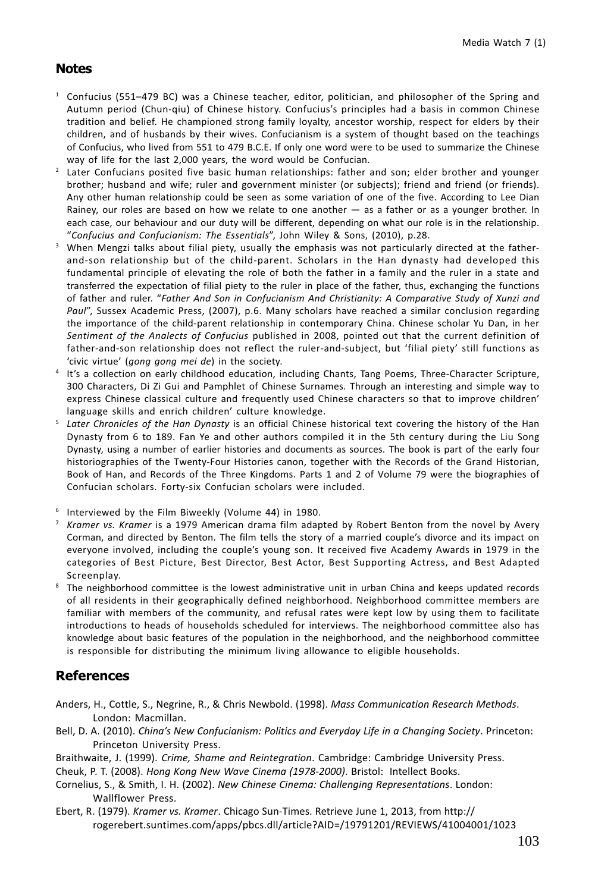### **Notes**

- <sup>1</sup> Confucius (551-479 BC) was a Chinese teacher, editor, politician, and philosopher of the Spring and Autumn period (Chun-qiu) of Chinese history. Confucius's principles had a basis in common Chinese tradition and belief. He championed strong family loyalty, ancestor worship, respect for elders by their children, and of husbands by their wives. Confucianism is a system of thought based on the teachings of Confucius, who lived from 551 to 479 B.C.E. If only one word were to be used to summarize the Chinese way of life for the last 2,000 years, the word would be Confucian.
- <sup>2</sup> Later Confucians posited five basic human relationships: father and son; elder brother and younger brother; husband and wife; ruler and government minister (or subjects); friend and friend (or friends). Any other human relationship could be seen as some variation of one of the five. According to Lee Dian Rainey, our roles are based on how we relate to one another - as a father or as a younger brother. In each case, our behaviour and our duty will be different, depending on what our role is in the relationship. "Confucius and Confucianism: The Essentials", John Wiley & Sons, (2010), p.28.
- <sup>3</sup> When Mengzi talks about filial piety, usually the emphasis was not particularly directed at the fatherand-son relationship but of the child-parent. Scholars in the Han dynasty had developed this fundamental principle of elevating the role of both the father in a family and the ruler in a state and transferred the expectation of filial piety to the ruler in place of the father, thus, exchanging the functions of father and ruler. "Father And Son in Confucianism And Christianity: A Comparative Study of Xunzi and Paul", Sussex Academic Press, (2007), p.6. Many scholars have reached a similar conclusion regarding the importance of the child-parent relationship in contemporary China. Chinese scholar Yu Dan, in her Sentiment of the Analects of Confucius published in 2008, pointed out that the current definition of father-and-son relationship does not reflect the ruler-and-subject, but 'filial piety' still functions as 'civic virtue' (gong gong mei de) in the society.
- It's a collection on early childhood education, including Chants, Tang Poems, Three-Character Scripture, 300 Characters. Di Zi Gui and Pamphlet of Chinese Surnames. Through an interesting and simple way to express Chinese classical culture and frequently used Chinese characters so that to improve children' language skills and enrich children' culture knowledge.
- Later Chronicles of the Han Dynasty is an official Chinese historical text covering the history of the Han Dynasty from 6 to 189. Fan Ye and other authors compiled it in the 5th century during the Liu Song Dynasty, using a number of earlier histories and documents as sources. The book is part of the early four historiographies of the Twenty-Four Histories canon, together with the Records of the Grand Historian, Book of Han, and Records of the Three Kingdoms. Parts 1 and 2 of Volume 79 were the biographies of Confucian scholars. Forty-six Confucian scholars were included.
- <sup>6</sup> Interviewed by the Film Biweekly (Volume 44) in 1980.
- <sup>7</sup> Kramer vs. Kramer is a 1979 American drama film adapted by Robert Benton from the novel by Avery Corman, and directed by Benton. The film tells the story of a married couple's divorce and its impact on everyone involved, including the couple's young son. It received five Academy Awards in 1979 in the categories of Best Picture, Best Director, Best Actor, Best Supporting Actress, and Best Adapted Screenplay.
- <sup>8</sup> The neighborhood committee is the lowest administrative unit in urban China and keeps updated records of all residents in their geographically defined neighborhood. Neighborhood committee members are familiar with members of the community, and refusal rates were kept low by using them to facilitate introductions to heads of households scheduled for interviews. The neighborhood committee also has knowledge about basic features of the population in the neighborhood, and the neighborhood committee is responsible for distributing the minimum living allowance to eligible households.

### **References**

- Anders, H., Cottle, S., Negrine, R., & Chris Newbold. (1998). Mass Communication Research Methods. London: Macmillan.
- Bell, D. A. (2010). China's New Confucianism: Politics and Everyday Life in a Changing Society. Princeton: Princeton University Press.
- Braithwaite, J. (1999). Crime, Shame and Reintegration. Cambridge: Cambridge University Press.
- Cheuk, P. T. (2008). Hong Kong New Wave Cinema (1978-2000). Bristol: Intellect Books.
- Cornelius, S., & Smith, I. H. (2002). New Chinese Cinema: Challenging Representations. London: Wallflower Press.
- Ebert, R. (1979). Kramer vs. Kramer. Chicago Sun-Times. Retrieve June 1, 2013, from http:// rogerebert.suntimes.com/apps/pbcs.dll/article?AID=/19791201/REVIEWS/41004001/1023